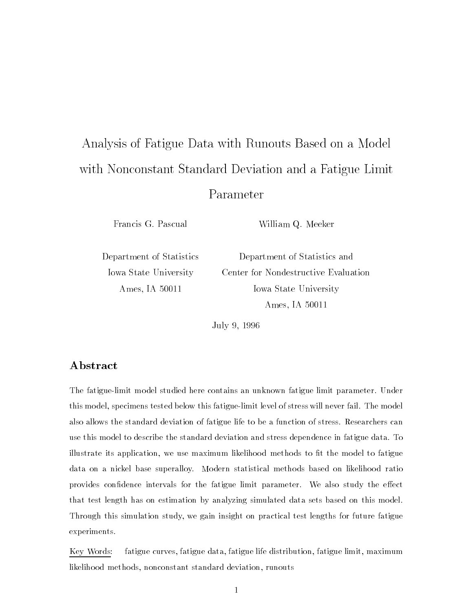# Analysis of Fatigue Data with Runouts Based on a Model with Nonconstant Standard Deviation and a Fatigue Limit Parameter

Francis G. Pascual

William Q. Meeker

Department of Statistics Iowa State University Ames, IA 50011

Department of Statistics and Center for Nondestructive Evaluation Iowa State University Ames, IA 50011

July 9, 1996

### Abstract

The fatigue-limit model studied here contains an unknown fatigue limit parameter. Under this model, specimens tested below this fatigue-limit level of stress will never fail. The model also allows the standard deviation of fatigue life to be a function of stress. Researchers can use this model to describe the standard deviation and stress dependence in fatigue data. To illustrate its application, we use maximum likelihood methods to fit the model to fatigue data on a nickel base superalloy. Modern statistical methods based on likelihood ratio provides confidence intervals for the fatigue limit parameter. We also study the effect that test length has on estimation by analyzing simulated data sets based on this model. Through this simulation study, we gain insight on practical test lengths for future fatigue experiments.

Key Words: fatigue curves, fatigue data, fatigue life distribution, fatigue limit, maximum likelihood methods, nonconstant standard deviation, runouts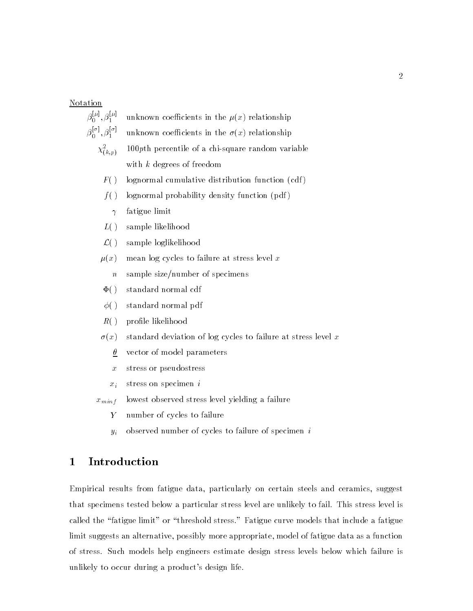### Notation



- <sup>x</sup> stress or pseudostress
- $x_i$  stress on specimen i
- $x_{minf}$  lowest observed stress level yielding a failure
	- <sup>Y</sup> number of cycles to failure
	- $y_i$  observed number of cycles to failure of specimen i

### 1 Introduction

Empirical results from fatigue data, particularly on certain steels and ceramics, suggest that specimens tested below a particular stress level are unlikely to fail. This stress level is called the "fatigue limit" or "threshold stress." Fatigue curve models that include a fatigue limit suggests an alternative, possibly more appropriate, model of fatigue data as a function of stress. Such models help engineers estimate design stress levels below which failure is unlikely to occur during a product's design life.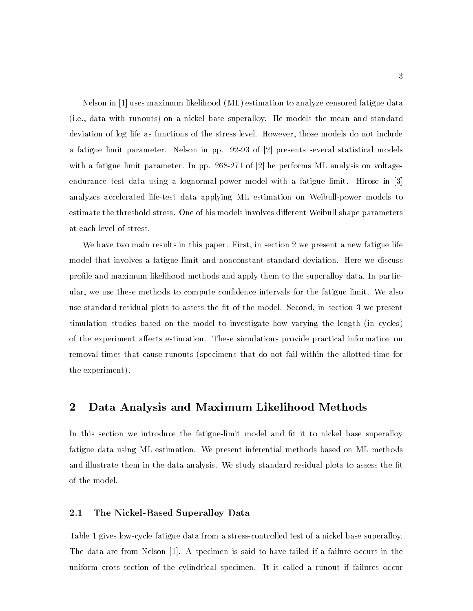Nelson in [1] uses maximum likelihood (ML) estimation to analyze censored fatigue data (i.e., data with runouts) on a nickel base superalloy. He models the mean and standard deviation of log life as functions of the stress level. However, those models do not include a fatigue limit parameter. Nelson in pp. 92-93 of [2] presents several statistical models with a fatigue limit parameter. In pp. 268-271 of [2] he performs ML analysis on voltageendurance test data using a lognormal-power model with a fatigue limit. Hirose in [3] analyzes accelerated life-test data applying ML estimation on Weibull-power models to estimate the threshold stress. One of his models involves different Weibull shape parameters at each level of stress.

We have two main results in this paper. First, in section 2 we present a new fatigue life model that involves a fatigue limit and nonconstant standard deviation. Here we discuss profile and maximum likelihood methods and apply them to the superalloy data. In particular, we use these methods to compute condence intervals for the fatigue limit. We also use standard residual plots to assess the fit of the model. Second, in section 3 we present simulation studies based on the model to investigate how varying the length (in cycles) of the experiment affects estimation. These simulations provide practical information on removal times that cause runouts (specimens that do not fail within the allotted time for the experiment).

### 2 Data Analysis and Maximum Likelihood Methods

In this section we introduce the fatigue-limit model and fit it to nickel base superalloy fatigue data using ML estimation. We present inferential methods based on ML methods and illustrate them in the data analysis. We study standard residual plots to assess the fit of the model.

#### 2.1The Nickel-Based Superalloy Data

Table 1 gives low-cycle fatigue data from a stress-controlled test of a nickel base superalloy. The data are from Nelson [1]. A specimen is said to have failed if a failure occurs in the uniform cross section of the cylindrical specimen. It is called a runout if failures occur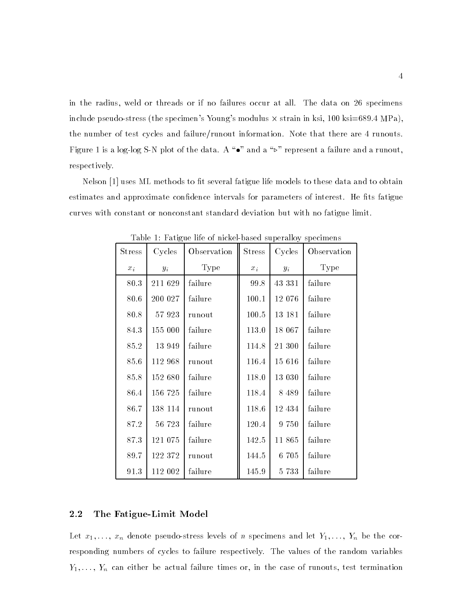in the radius, weld or threads or if no failures occur at all. The data on 26 specimens include pseudo-stress (the specimen's Young's modulus  $\times$  strain in ksi, 100 ksi=689.4 MPa), the number of test cycles and failure/runout information. Note that there are 4 runouts. Figure 1 is a log-log S-N plot of the data. A " $\bullet$ " and a " $\triangleright$ " represent a failure and a runout, respectively.

Nelson [1] uses ML methods to fit several fatigue life models to these data and to obtain estimates and approximate confidence intervals for parameters of interest. He fits fatigue curves with constant or nonconstant standard deviation but with no fatigue limit.

| <b>Stress</b> | Cycles  | Observation | <b>Stress</b> | Cycles  | Observation |
|---------------|---------|-------------|---------------|---------|-------------|
| $x_i$         | $y_i$   | Type        | $x_{\,i}$     | $y_i$   | Type        |
| 80.3          | 211 629 | failure     | 99.8          | 43 331  | failure     |
| 80.6          | 200 027 | failure     | 100.1         | 12 076  | failure     |
| 80.8          | 57 923  | runout      | $100.5\,$     | 13 18 1 | failure     |
| 84.3          | 155 000 | failure     | 113.0         | 18 067  | failure     |
| 85.2          | 13 949  | failure     | 114.8         | 21 300  | failure     |
| 85.6          | 112 968 | runout      | 116.4         | 15 616  | failure     |
| 85.8          | 152 680 | failure     | 118.0         | 13 030  | failure     |
| 86.4          | 156 725 | failure     | 118.4         | 8 4 8 9 | failure     |
| 86.7          | 138 114 | runout      | 118.6         | 12 434  | failure     |
| 87.2          | 56 723  | failure     | 120.4         | 9 750   | failure     |
| 87.3          | 121 075 | failure     | 142.5         | 11 865  | failure     |
| 89.7          | 122 372 | runout      | 144.5         | 6 705   | failure     |
| 91.3          | 112 002 | failure     | 145.9         | 5 7 3 3 | failure     |

Table 1: Fatigue life of nickel-based superalloy specimens

#### 2.2The Fatigue-Limit Model

Let  $x_1, \ldots, x_n$  denote pseudo-stress levels of n specimens and let  $Y_1, \ldots, Y_n$  be the corresponding numbers of cycles to failure respectively. The values of the random variables  $Y_1, \ldots, Y_n$  can either be actual failure times or, in the case of runouts, test termination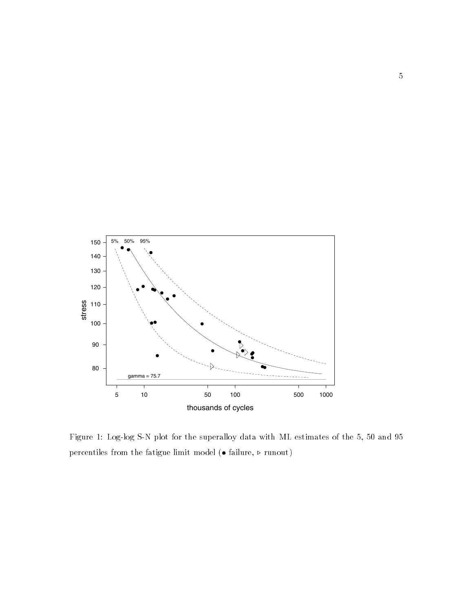

Figure 1: Log-log S-N plot for the superalloy data with ML estimates of the 5, 50 and 95 percentiles from the fatigue limit model  $(\bullet$  failure,  $\triangleright$  runout)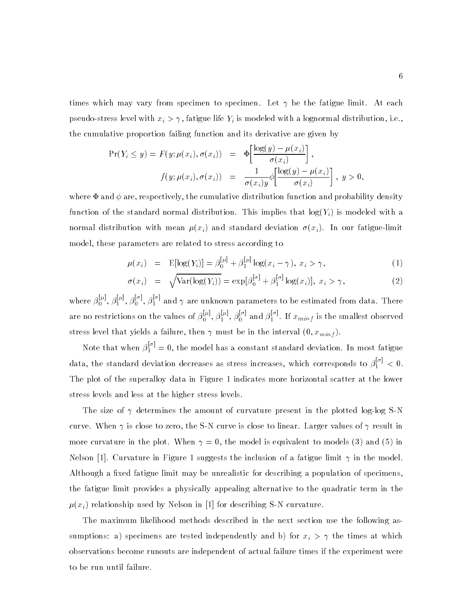times which may vary from specimen to specimen. Let  $\gamma$  be the fatigue limit. At each pseudo-stress level with  $x_i > \gamma$ , fatigue life  $Y_i$  is modeled with a lognormal distribution, i.e., the cumulative proportion failing function and its derivative are given by

$$
\Pr(Y_i \le y) = F(y; \mu(x_i), \sigma(x_i)) = \Phi\left[\frac{\log(y) - \mu(x_i)}{\sigma(x_i)}\right],
$$
  

$$
f(y; \mu(x_i), \sigma(x_i)) = \frac{1}{\sigma(x_i)y} \phi\left[\frac{\log(y) - \mu(x_i)}{\sigma(x_i)}\right], y > 0,
$$

where  $\Phi$  and  $\phi$  are, respectively, the cumulative distribution function and probability density function of the standard normal distribution. This implies that  $log(Y_i)$  is modeled with a normal distribution with mean  $\mu(x_i)$  and standard deviation  $\sigma(x_i)$ . In our fatigue-limit model, these parameters are related to stress according to

$$
\mu(x_i) = \mathbb{E}[\log(Y_i)] = \beta_0^{[\mu]} + \beta_1^{[\mu]} \log(x_i - \gamma), \ x_i > \gamma,
$$
\n(1)

$$
\sigma(x_i) = \sqrt{\text{Var}(\log(Y_i))} = \exp[\beta_0^{[\sigma]} + \beta_1^{[\sigma]} \log(x_i)], x_i > \gamma,
$$
\n(2)

where  $\beta_0^{p_1},\beta_1^{p_1},\beta_0^{p_2},\beta_1^{p_3}$  and  $\gamma$  are unknown parameters to be estimated from data. There are no restrictions on the values of  $\beta_0^{p-1}, \beta_1^{p-1}, \beta_0^{1-1}$  and  $\beta_1^{p-1}$ . If  $x_{minf}$  is the smallest observed stress level that yields a failure, then  $\gamma$  must be in the interval  $(0, x_{minf})$ .

Note that when  $\beta_1^{11} = 0$ , the model has a constant standard deviation. In most fatigue data, the standard deviation decreases as stress increases, which corresponds to  $\beta_1^{i+1} < 0$ . The plot of the superalloy data in Figure 1 indicates more horizontal scatter at the lower stress levels and less at the higher stress levels.

The size of  $\gamma$  determines the amount of curvature present in the plotted log-log S-N curve. When  $\gamma$  is close to zero, the S-N curve is close to linear. Larger values of  $\gamma$  result in more curvature in the plot. When  $\gamma = 0$ , the model is equivalent to models (3) and (5) in Nelson [1]. Curvature in Figure 1 suggests the inclusion of a fatigue limit  $\gamma$  in the model. Although a fixed fatigue limit may be unrealistic for describing a population of specimens. the fatigue limit provides a physically appealing alternative to the quadratic term in the  $\mu(x_i)$  relationship used by Nelson in [1] for describing S-N curvature.

The maximum likelihood methods described in the next section use the following assumptions: a) specimens are tested independently and b) for  $x_i > \gamma$  the times at which observations become runouts are independent of actual failure times if the experiment were to be run until failure.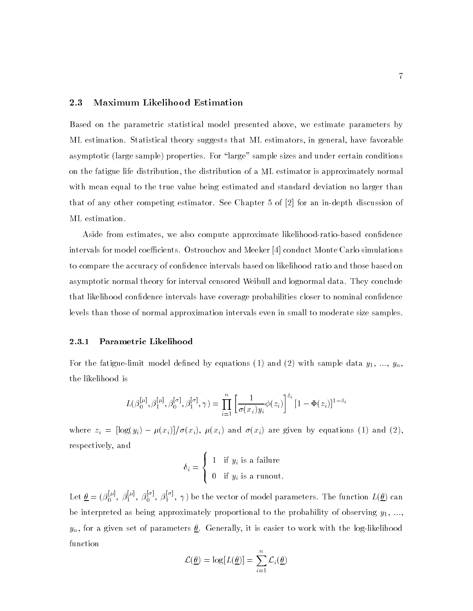#### 2.3Maximum Likelihood Estimation

Based on the parametric statistical model presented above, we estimate parameters by ML estimation. Statistical theory suggests that ML estimators, in general, have favorable asymptotic (large sample) properties. For "large" sample sizes and under certain conditions on the fatigue life distribution, the distribution of a ML estimator is approximately normal with mean equal to the true value being estimated and standard deviation no larger than that of any other competing estimator. See Chapter 5 of [2] for an in-depth discussion of ML estimation.

Aside from estimates, we also compute approximate likelihood-ratio-based confidence intervals for model coefficients. Ostrouchov and Meeker  $[4]$  conduct Monte Carlo simulations to compare the accuracy of confidence intervals based on likelihood ratio and those based on asymptotic normal theory for interval censored Weibull and lognormal data. They conclude that likelihood confidence intervals have coverage probabilities closer to nominal confidence levels than those of normal approximation intervals even in small to moderate size samples.

#### 2.3.1Parametric Likelihood

For the fatigue-limit model defined by equations (1) and (2) with sample data  $y_1, ..., y_n$ , the likelihood is

$$
L(\beta_0^{[\mu]}, \beta_1^{[\mu]}, \beta_0^{[\sigma]}, \beta_1^{[\sigma]}, \gamma) = \prod_{i=1}^n \left[ \frac{1}{\sigma(x_i)y_i} \phi(z_i) \right]^{\delta_i} \left[ 1 - \Phi(z_i) \right]^{1 - \delta_i}
$$

where  $x_i$  =  $\begin{pmatrix} 1 & -1 & 0 & 0 & i \\ 0 & 0 & 0 & i \end{pmatrix}$ ,  $\begin{pmatrix} x_i & y_j \end{pmatrix}$ ,  $\begin{pmatrix} x_i & y_j \end{pmatrix}$  and  $\begin{pmatrix} x_i & y_j \end{pmatrix}$  and  $\begin{pmatrix} x_i & y_j \end{pmatrix}$ respectively, and

$$
\delta_i = \begin{cases} 1 & \text{if } y_i \text{ is a failure} \\ 0 & \text{if } y_i \text{ is a runout.} \end{cases}
$$

Let  $\underline{\theta} = (\beta_0^{r-1}, \beta_1^{r-1}, \beta_0^{r-1}, \gamma)$  be the vector of model parameters. The function  $L(\underline{\theta})$  can be interpreted as being approximately proportional to the probability of observing  $y_1, ...,$  $y_n$ , for a given set of parameters  $\underline{\theta}$ . Generally, it is easier to work with the log-likelihood function

$$
\mathcal{L}(\underline{\theta}) = \log[L(\underline{\theta})] = \sum_{i=1}^{n} \mathcal{L}_i(\underline{\theta})
$$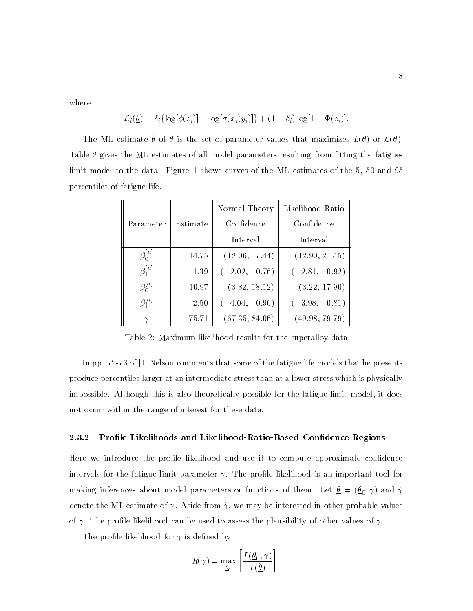where

$$
\mathcal{L}_i(\underline{\theta}) = \delta_i \{ \log[\phi(z_i)] - \log[\sigma(x_i)y_i)] \} + (1 - \delta_i) \log[1 - \Phi(z_i)].
$$

The ML estimate  $\frac{\sigma}{\sigma}$  of  $\frac{\sigma}{\sigma}$  is the set of parameter values that maximizes  $L(\frac{\sigma}{\sigma})$  or  $L(\frac{\sigma}{\sigma})$ . Table 2 gives the ML estimates of all model parameters resulting from fitting the fatiguelimit model to the data. Figure 1 shows curves of the ML estimates of the 5, 50 and 95 percentiles of fatigue life.

|                      |          | Normal-Theory    | Likelihood-Ratio |
|----------------------|----------|------------------|------------------|
| Parameter            | Estimate | Confidence       | Confidence       |
|                      |          | Interval         | Interval         |
| $\beta_0^{[\mu]}$    | 14.75    | (12.06, 17.44)   | (12.90, 21.45)   |
| $\beta_1^{[\mu]}$    | $-1.39$  | $(-2.02, -0.76)$ | $(-2.81, -0.92)$ |
| $\beta_0^{[\sigma]}$ | 10.97    | (3.82, 18.12)    | (3.22, 17.90)    |
| $\beta_1^{[\sigma]}$ | $-2.50$  | $(-4.04, -0.96)$ | $(-3.98, -0.81)$ |
|                      | 75.71    | (67.35, 84.06)   | (49.98, 79.79)   |

Table 2: Maximum likelihood results for the superalloy data

In pp. 72-73 of [1] Nelson comments that some of the fatigue life models that he presents produce percentiles larger at an intermediate stress than at a lower stress which is physically impossible. Although this is also theoretically possible for the fatigue-limit model, it does not occur within the range of interest for these data.

#### 2.3.2Profile Likelihoods and Likelihood-Ratio-Based Confidence Regions

Here we introduce the profile likelihood and use it to compute approximate confidence intervals for the fatigue limit parameter  $\gamma$ . The profile likelihood is an important tool for making inferences about model parameters or functions of them. Let  $\underline{\theta} = (\underline{\theta}_0, \gamma)$  and  $\hat{\gamma}$ denote the ML estimate of  $\gamma$ . Aside from  $\hat{\gamma}$ , we may be interested in other probable values of  $\gamma$ . The profile likelihood can be used to assess the plausibility of other values of  $\gamma$ .

The profile likelihood for  $\gamma$  is defined by

$$
R(\gamma) = \max_{\underline{\hat{\theta}}_0} \left[ \frac{L(\underline{\theta}_0, \gamma)}{L(\underline{\hat{\theta}})} \right].
$$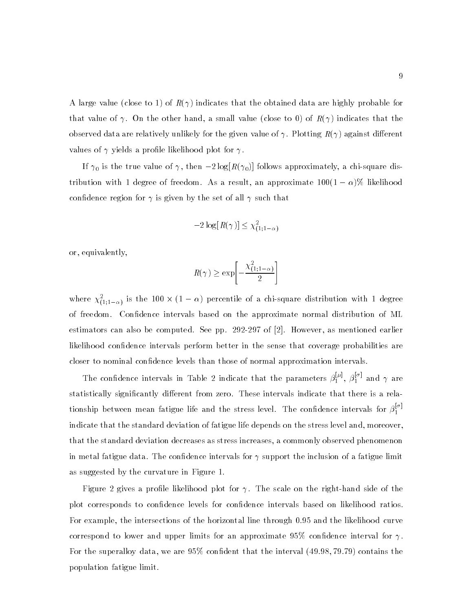A large value (close to 1) of  $R(\gamma)$  indicates that the obtained data are highly probable for that value of  $\gamma$ . On the other hand, a small value (close to 0) of  $R(\gamma)$  indicates that the observed data are relatively unlikely for the given value of  $\gamma$ . Plotting  $R(\gamma)$  against different values of  $\gamma$  yields a profile likelihood plot for  $\gamma$ .

If  $\mathcal{O}$  is the true value of  $\mathcal{O}$  , then  $\mathcal{O}$  follows  $\mathcal{O}(\mathcal{O})$  follows approximately, accurately,  $\mathcal{O}$ tribution with 1 degree of freedom. As a result, an approximate 100(1  $\rightarrow$  )), and interesting confidence region for  $\gamma$  is given by the set of all  $\gamma$  such that

$$
-2\log[R(\gamma)] \leq \chi^2_{(1;1-\alpha)}
$$

or, equivalently,

$$
R(\gamma) \ge \exp\left[-\frac{\chi^2_{(1;1-\alpha)}}{2}\right]
$$

where  $\chi_{(1;1-\alpha)}^2$  is the 100  $\times$  (1 –  $\alpha$ ) percentile of a chi-square distribution with 1 degree of freedom. Condence intervals based on the approximate normal distribution of ML estimators can also be computed. See pp. 292-297 of [2]. However, as mentioned earlier likelihood condence intervals perform better in the sense that coverage probabilities are closer to nominal condence levels than those of normal approximation intervals.

The confidence intervals in Table 2 indicate that the parameters  $\beta_1^{i_1},\ \beta_1^{i_2}$  and  $\gamma$  are statistically significantly different from zero. These intervals indicate that there is a relationship between mean fatigue life and the stress level. The confidence intervals for  $\beta_1^+$ indicate that the standard deviation of fatigue life depends on the stress level and, moreover, that the standard deviation decreases as stress increases, a commonly observed phenomenon in metal fatigue data. The confidence intervals for  $\gamma$  support the inclusion of a fatigue limit as suggested by the curvature in Figure 1.

Figure 2 gives a profile likelihood plot for  $\gamma$ . The scale on the right-hand side of the plot corresponds to condence levels for condence intervals based on likelihood ratios. For example, the intersections of the horizontal line through 0:95 and the likelihood curve correspond to lower and upper limits for an approximate 95% confidence interval for  $\gamma$ . For the superalloy data, we are  $95\%$  confident that the interval  $(49.98, 79.79)$  contains the population fatigue limit.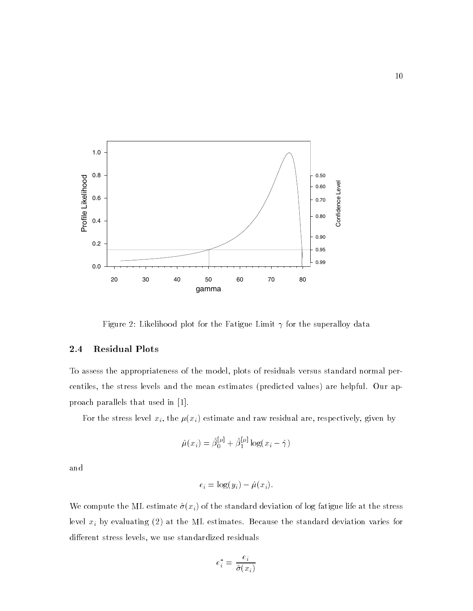

Figure 2: Likelihood plot for the Fatigue Limit  $\gamma$  for the superalloy data

#### 2.4Residual Plots

To assess the appropriateness of the model, plots of residuals versus standard normal percentiles, the stress levels and the mean estimates (predicted values) are helpful. Our approach parallels that used in [1].

For the stress level  $x_i$ , the  $\mu(x_i)$  estimate and raw residual are, respectively, given by

$$
\hat{\mu}(x_i)=\hat{\beta}_0^{[\mu]}+\hat{\beta}_1^{[\mu]}\log(x_i-\hat{\gamma})
$$

and

$$
e_i = \log(y_i) - \hat{\mu}(x_i).
$$

We compute the ML estimate  $\hat{\sigma}(x_i)$  of the standard deviation of log fatigue life at the stress level  $x_i$  by evaluating (2) at the ML estimates. Because the standard deviation varies for different stress levels, we use standardized residuals

$$
e_i^* = \frac{e_i}{\hat{\sigma}(x_i)}
$$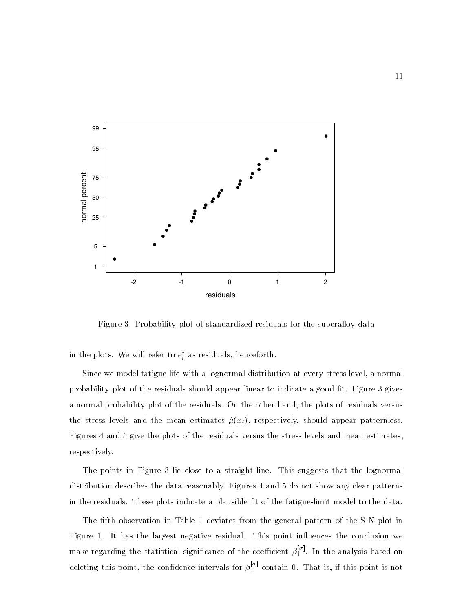

Figure 3: Probability plot of standardized residuals for the superalloy data

in the plots. We will refer to  $e_i$  as residuals, henceforth.

Since we model fatigue life with a lognormal distribution at every stress level, a normal probability plot of the residuals should appear linear to indicate a good fit. Figure 3 gives a normal probability plot of the residuals. On the other hand, the plots of residuals versus the stress levels and the mean estimates  $\hat{\mu}(x_i)$ , respectively, should appear patternless. Figures 4 and 5 give the plots of the residuals versus the stress levels and mean estimates, respectively.

The points in Figure 3 lie close to a straight line. This suggests that the lognormal distribution describes the data reasonably. Figures 4 and 5 do not show any clear patterns in the residuals. These plots indicate a plausible fit of the fatigue-limit model to the data.

The fth observation in Table 1 deviates from the general pattern of the S-N plot in Figure 1. It has the largest negative residual. This point influences the conclusion we make regarding the statistical significance of the coefficient  $\beta_1^{r+1}$ . In the analysis based on deleting this point, the confidence intervals for  $\beta_1^{++}$  contain 0. That is, if this point is not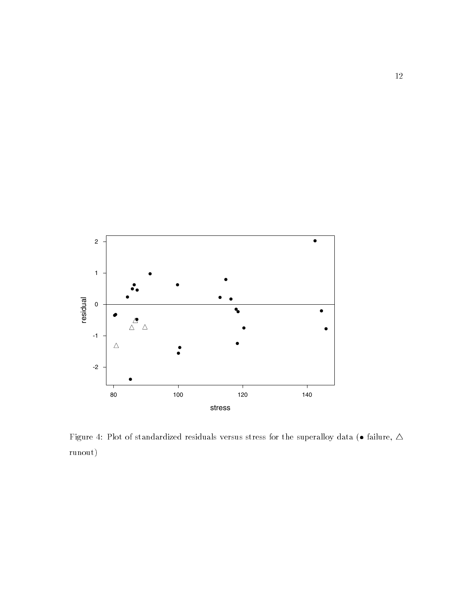

Figure 4: Plot of standardized residuals versus stress for the superalloy data ( $\bullet$  failure,  $\Delta$ runout)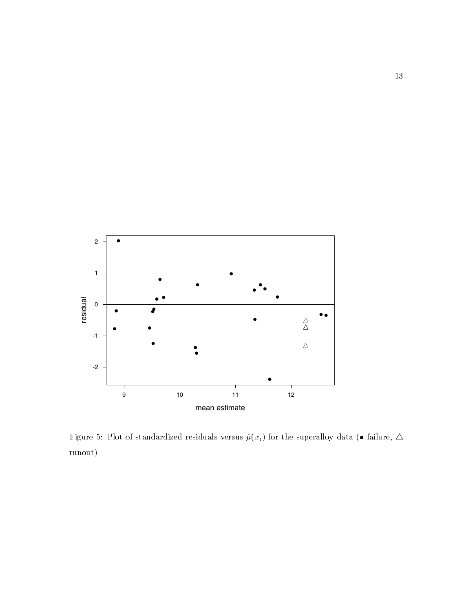

Figure 5: Plot of standardized residuals versus  $\hat{\mu}(x_i)$  for the superalloy data (• failure,  $\Delta$ runout)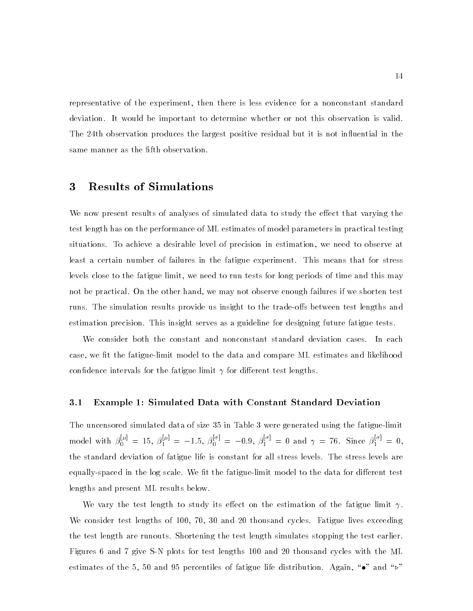representative of the experiment, then there is less evidence for a nonconstant standard deviation. It would be important to determine whether or not this observation is valid. The 24th observation produces the largest positive residual but it is not influential in the same manner as the fifth observation.

### 3 Results of Simulations

We now present results of analyses of simulated data to study the effect that varying the test length has on the performance of ML estimates of model parameters in practical testing situations. To achieve a desirable level of precision in estimation, we need to observe at least a certain number of failures in the fatigue experiment. This means that for stress levels close to the fatigue limit, we need to run tests for long periods of time and this may not be practical. On the other hand, we may not observe enough failures if we shorten test runs. The simulation results provide us insight to the trade-offs between test lengths and estimation precision. This insight serves as a guideline for designing future fatigue tests.

We consider both the constant and nonconstant standard deviation cases. In each case, we fit the fatigue-limit model to the data and compare ML estimates and likelihood confidence intervals for the fatigue limit  $\gamma$  for different test lengths.

#### 3.1Example 1: Simulated Data with Constant Standard Deviation

The uncensored simulated data of size 35 in Table 3 were generated using the fatigue-limit model with  $\beta_0^{n_1} = 15$ ,  $\beta_1^{n_2} = -1.5$ ,  $\beta_0^{n_3} = -0.9$ ,  $\beta_1^{n_3} = 0$  and  $\gamma = 76$ . Since  $\beta_1^{n_3} = 0$ , the standard deviation of fatigue life is constant for all stress levels. The stress levels are equally-spaced in the log scale. We fit the fatigue-limit model to the data for different test lengths and present ML results below.

We vary the test length to study its effect on the estimation of the fatigue limit  $\gamma$ . We consider test lengths of 100, 70, 30 and 20 thousand cycles. Fatigue lives exceeding the test length are runouts. Shortening the test length simulates stopping the test earlier. Figures 6 and 7 give S-N plots for test lengths 100 and 20 thousand cycles with the ML estimates of the 5, 50 and 95 percentiles of fatigue life distribution. Again, " $\bullet$ " and " $\triangleright$ "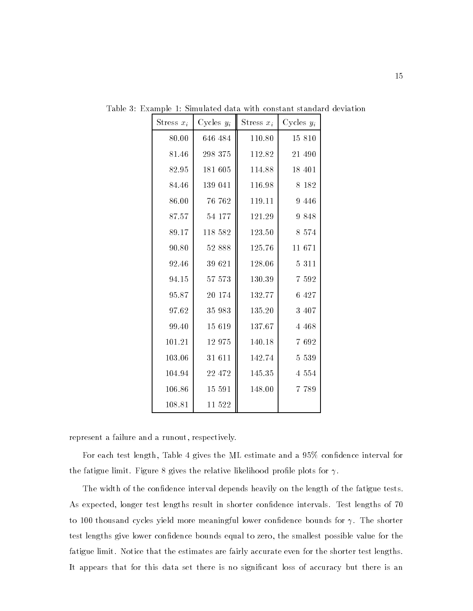| Stress $x_i$ | Cycles $y_i$ | Stress $x_i$ | Cycles $y_i$ |  |
|--------------|--------------|--------------|--------------|--|
| 80.00        | 646 484      | 110.80       | 15 810       |  |
| 81.46        | 298 375      | 112.82       | 21 490       |  |
| 82.95        | 181 605      | 114.88       | 18 401       |  |
| 84.46        | 139 041      | 116.98       | 8 1 8 2      |  |
| 86.00        | 76 762       | 119.11       | 9 4 4 6      |  |
| 87.57        | 54 177       | 121.29       | 9 8 4 8      |  |
| 89.17        | 118 582      | 123.50       | 8 5 7 4      |  |
| 90.80        | 52 888       | 125.76       | 11 671       |  |
| 92.46        | 39 621       | 128.06       | 5 3 1 1      |  |
| 94.15        | 57 573       | 130.39       | 7 5 9 2      |  |
| 95.87        | 20 174       | 132.77       | 6 427        |  |
| 97.62        | $35\ 983$    | 135.20       | 3 407        |  |
| 99.40        | 15 6 19      | 137.67       | 4 4 6 8      |  |
| 101.21       | 12 975       | 140.18       | 7 6 9 2      |  |
| 103.06       | 31 611       | $142.74\,$   | 5 5 3 9      |  |
| 104.94       | 22 472       | 145.35       | 4 5 5 4      |  |
| 106.86       | 15 591       | 148.00       | 7 789        |  |
| 108.81       | 11 522       |              |              |  |

Table 3: Example 1: Simulated data with constant standard deviation

represent a failure and a runout, respectively.

For each test length, Table 4 gives the ML estimate and a  $95\%$  confidence interval for the fatigue limit. Figure 8 gives the relative likelihood profile plots for  $\gamma$ .

The width of the condence interval depends heavily on the length of the fatigue tests. As expected, longer test lengths result in shorter confidence intervals. Test lengths of 70 to 100 thousand cycles yield more meaningful lower confidence bounds for  $\gamma$ . The shorter test lengths give lower confidence bounds equal to zero, the smallest possible value for the fatigue limit. Notice that the estimates are fairly accurate even for the shorter test lengths. It appears that for this data set there is no significant loss of accuracy but there is an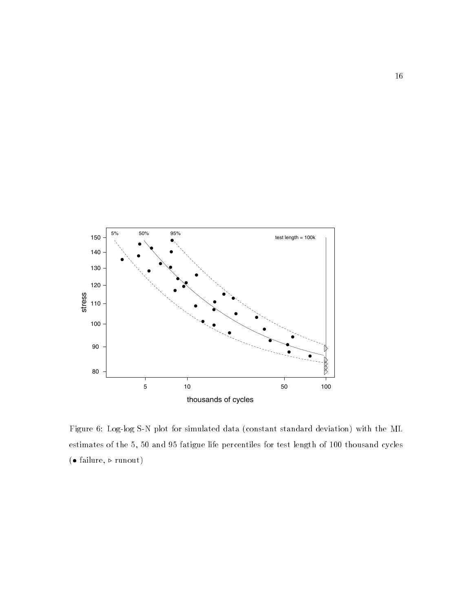

Figure 6: Log-log S-N plot for simulated data (constant standard deviation) with the ML estimates of the 5, 50 and 95 fatigue life percentiles for test length of 100 thousand cycles  $( \bullet \text{ failure}, \triangleright \text{runout})$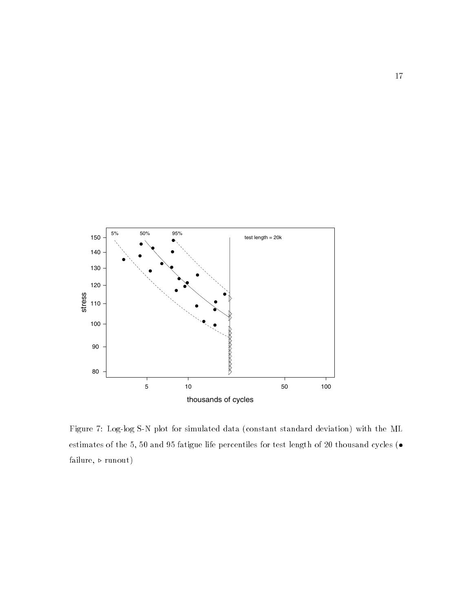

Figure 7: Log-log S-N plot for simulated data (constant standard deviation) with the ML estimates of the 5, 50 and 95 fatigue life percentiles for test length of 20 thousand cycles ( failure,  $\triangleright$  runout)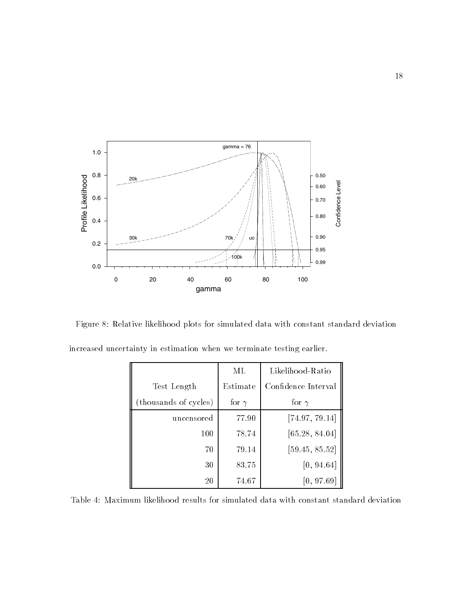

Figure 8: Relative likelihood plots for simulated data with constant standard deviation

|                       | ML           | Likelihood-Ratio    |
|-----------------------|--------------|---------------------|
| Test Length           | Estimate     | Confidence Interval |
| (thousands of cycles) | for $\gamma$ | for $\gamma$        |
| uncensored            | 77.90        | [74.97, 79.14]      |
| 100                   | 78.74        | [65.28, 84.04]      |
| 70                    | 79.14        | [59.45, 85.52]      |
| 30                    | 83.75        | [0, 94.64]          |
| 20                    | 74.67        | [0, 97.69]          |

increased uncertainty in estimation when we terminate testing earlier.

Table 4: Maximum likelihood results for simulated data with constant standard deviation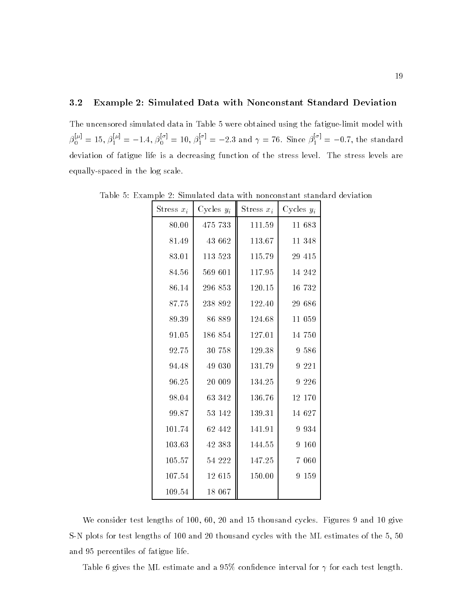#### 3.2Example 2: Simulated Data with Nonconstant Standard Deviation

The uncensored simulated data in Table 5 were obtained using the fatigue-limit model with  $\beta_0^{p-1} = 15, \beta_1^{p-1} = -1.4, \beta_0^{p-1} = 10, \beta_1^{p-1} = -2.3$  and  $\gamma = 76$ . Since  $\beta_1^{p-1} = -0.7$ , the standard deviation of fatigue life is a decreasing function of the stress level. The stress levels are equally-spaced in the log scale.

| Stress $x_i$ | Cycles $y_i$ | Stress $x_i$ | Cycles $y_i$ |
|--------------|--------------|--------------|--------------|
| 80.00        | 475 733      | 111.59       | 11 683       |
| 81.49        | 43 662       | 113.67       | 11 348       |
| 83.01        | 113 523      | 115.79       | 29 415       |
| 84.56        | 569 601      | 117.95       | 14 242       |
| 86.14        | 296 853      | 120.15       | 16 732       |
| 87.75        | 238 892      | 122.40       | 29 686       |
| 89.39        | 86 889       | 124.68       | 11 059       |
| 91.05        | 186 854      | 127.01       | 14 750       |
| 92.75        | 30 758       | 129.38       | 9 586        |
| 94.48        | 49 030       | 131.79       | 9 2 2 1      |
| 96.25        | 20 009       | 134.25       | 9 2 2 6      |
| 98.04        | 63 342       | 136.76       | 12 170       |
| 99.87        | 53 142       | 139.31       | 14 627       |
| 101.74       | 62 442       | 141.91       | 9 9 3 4      |
| 103.63       | 42 383       | 144.55       | 160<br>9     |
| 105.57       | 54 222       | 147.25       | 7 060        |
| 107.54       | 12 615       | 150.00       | 159<br>9     |
| 109.54       | 18 067       |              |              |

Table 5: Example 2: Simulated data with nonconstant standard deviation

We consider test lengths of 100, 60, 20 and 15 thousand cycles. Figures 9 and 10 give S-N plots for test lengths of 100 and 20 thousand cycles with the ML estimates of the 5, 50 and 95 percentiles of fatigue life.

Table 6 gives the ML estimate and a 95% confidence interval for  $\gamma$  for each test length.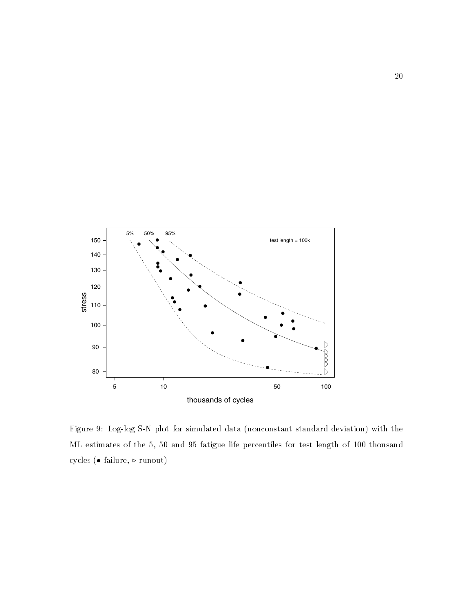

Figure 9: Log-log S-N plot for simulated data (nonconstant standard deviation) with the ML estimates of the 5, 50 and 95 fatigue life percentiles for test length of 100 thousand cycles ( $\bullet$  failure,  $\triangleright$  runout)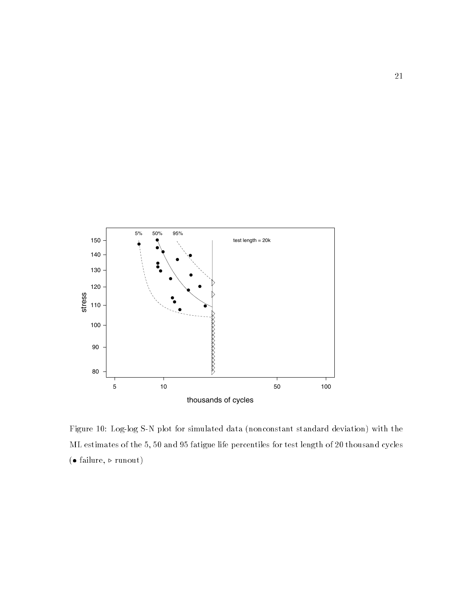

Figure 10: Log-log S-N plot for simulated data (nonconstant standard deviation) with the ML estimates of the 5, 50 and 95 fatigue life percentiles for test length of 20 thousand cycles ( $\bullet$  failure,  $\triangleright$  runout)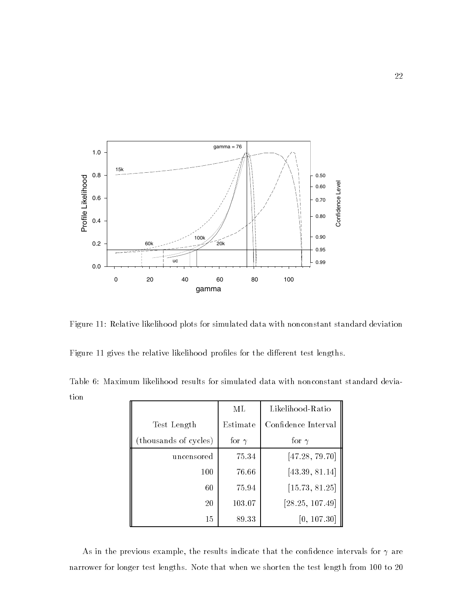

Figure 11: Relative likelihood plots for simulated data with nonconstant standard deviation

Figure 11 gives the relative likelihood profiles for the different test lengths.

Table 6: Maximum likelihood results for simulated data with nonconstant standard deviation

|                       | ML           | Likelihood-Ratio    |
|-----------------------|--------------|---------------------|
| Test Length           | Estimate     | Confidence Interval |
| (thousands of cycles) | for $\gamma$ | for $\gamma$        |
| uncensored            | 75.34        | [47.28, 79.70]      |
| 100                   | 76.66        | [43.39, 81.14]      |
| 60                    | 75.94        | [15.73, 81.25]      |
| 20                    | 103.07       | [28.25, 107.49]     |
| 15                    | 89.33        | [0, 107.30]         |

As in the previous example, the results indicate that the confidence intervals for  $\gamma$  are narrower for longer test lengths. Note that when we shorten the test length from 100 to 20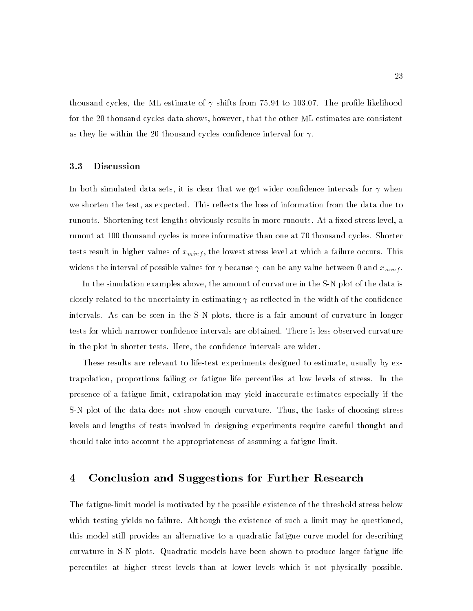thousand cycles, the ML estimate of  $\gamma$  shifts from 75.94 to 103.07. The profile likelihood for the 20 thousand cycles data shows, however, that the other ML estimates are consistent as they lie within the 20 thousand cycles confidence interval for  $\gamma$ .

#### 3.3Discussion

In both simulated data sets, it is clear that we get wider confidence intervals for  $\gamma$  when we shorten the test, as expected. This reflects the loss of information from the data due to runouts. Shortening test lengths obviously results in more runouts. At a fixed stress level, a runout at 100 thousand cycles is more informative than one at 70 thousand cycles. Shorter tests result in higher values of  $x_{minf}$ , the lowest stress level at which a failure occurs. This widens the interval of possible values for  $\gamma$  because  $\gamma$  can be any value between 0 and  $x_{minf}$ .

In the simulation examples above, the amount of curvature in the S-N plot of the data is closely related to the uncertainty in estimating  $\gamma$  as reflected in the width of the confidence intervals. As can be seen in the S-N plots, there is a fair amount of curvature in longer tests for which narrower condence intervals are obtained. There is less observed curvature in the plot in shorter tests. Here, the confidence intervals are wider.

These results are relevant to life-test experiments designed to estimate, usually by extrapolation, proportions failing or fatigue life percentiles at low levels of stress. In the presence of a fatigue limit, extrapolation may yield inaccurate estimates especially if the S-N plot of the data does not show enough curvature. Thus, the tasks of choosing stress levels and lengths of tests involved in designing experiments require careful thought and should take into account the appropriateness of assuming a fatigue limit.

### 4 Conclusion and Suggestions for Further Research

The fatigue-limit model is motivated by the possible existence of the threshold stress below which testing yields no failure. Although the existence of such a limit may be questioned, this model still provides an alternative to a quadratic fatigue curve model for describing curvature in S-N plots. Quadratic models have been shown to produce larger fatigue life percentiles at higher stress levels than at lower levels which is not physically possible.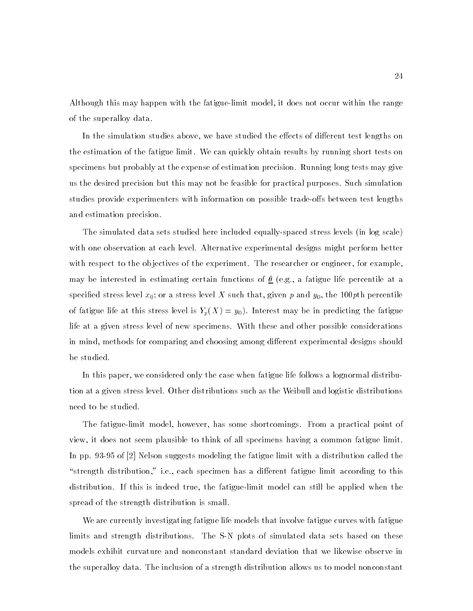Although this may happen with the fatigue-limit model, it does not occur within the range of the superalloy data.

In the simulation studies above, we have studied the effects of different test lengths on the estimation of the fatigue limit. We can quickly obtain results by running short tests on specimens but probably at the expense of estimation precision. Running long tests may give us the desired precision but this may not be feasible for practical purposes. Such simulation studies provide experimenters with information on possible trade-offs between test lengths and estimation precision.

The simulated data sets studied here included equally-spaced stress levels (in log scale) with one observation at each level. Alternative experimental designs might perform better with respect to the objectives of the experiment. The researcher or engineer, for example, may be interested in estimating certain functions of  $\underline{\theta}$  (e.g., a fatigue life percentile at a specified stress level  $x_0;$  or a stress level  $X$  such that, given  $p$  and  $y_0,$  the 100 $p$ th percentile of fatigue life at this stress level is  $Y_p(X) = y_0$ ). Interest may be in predicting the fatigue life at a given stress level of new specimens. With these and other possible considerations in mind, methods for comparing and choosing among different experimental designs should be studied.

In this paper, we considered only the case when fatigue life follows a lognormal distribution at a given stress level. Other distributions such as the Weibull and logistic distributions need to be studied.

The fatigue-limit model, however, has some shortcomings. From a practical point of view, it does not seem plausible to think of all specimens having a common fatigue limit. In pp. 93-95 of [2] Nelson suggests modeling the fatigue limit with a distribution called the "strength distribution," i.e., each specimen has a different fatigue limit according to this distribution. If this is indeed true, the fatigue-limit model can still be applied when the spread of the strength distribution is small.

We are currently investigating fatigue life models that involve fatigue curves with fatigue limits and strength distributions. The S-N plots of simulated data sets based on these models exhibit curvature and nonconstant standard deviation that we likewise observe in the superalloy data. The inclusion of a strength distribution allows us to model nonconstant